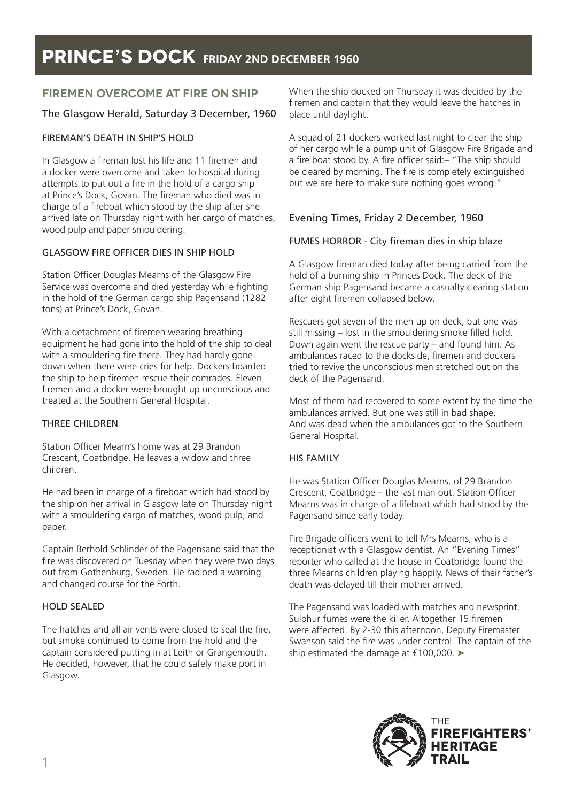## **FIREMEN OVERCOME AT FIRE ON SHIP**

### The Glasgow Herald, Saturday 3 December, 1960

### FIREMAN'S DEATH IN SHIP'S HOLD

In Glasgow a fireman lost his life and 11 firemen and a docker were overcome and taken to hospital during attempts to put out a fire in the hold of a cargo ship at Prince's Dock, Govan. The fireman who died was in charge of a fireboat which stood by the ship after she arrived late on Thursday night with her cargo of matches, wood pulp and paper smouldering.

### GLASGOW FIRE OFFICER DIES IN SHIP HOLD

Station Officer Douglas Mearns of the Glasgow Fire Service was overcome and died yesterday while fighting in the hold of the German cargo ship Pagensand (1282 tons) at Prince's Dock, Govan.

With a detachment of firemen wearing breathing equipment he had gone into the hold of the ship to deal with a smouldering fire there. They had hardly gone down when there were cries for help. Dockers boarded the ship to help firemen rescue their comrades. Eleven firemen and a docker were brought up unconscious and treated at the Southern General Hospital.

#### THREE CHILDREN

Station Officer Mearn's home was at 29 Brandon Crescent, Coatbridge. He leaves a widow and three children.

He had been in charge of a fireboat which had stood by the ship on her arrival in Glasgow late on Thursday night with a smouldering cargo of matches, wood pulp, and paper.

Captain Berhold Schlinder of the Pagensand said that the fire was discovered on Tuesday when they were two days out from Gothenburg, Sweden. He radioed a warning and changed course for the Forth.

#### HOLD SEALED

The hatches and all air vents were closed to seal the fire, but smoke continued to come from the hold and the captain considered putting in at Leith or Grangemouth. He decided, however, that he could safely make port in Glasgow.

When the ship docked on Thursday it was decided by the firemen and captain that they would leave the hatches in place until daylight.

A squad of 21 dockers worked last night to clear the ship of her cargo while a pump unit of Glasgow Fire Brigade and a fire boat stood by. A fire officer said:– "The ship should be cleared by morning. The fire is completely extinguished but we are here to make sure nothing goes wrong."

### Evening Times, Friday 2 December, 1960

### FUMES HORROR - City fireman dies in ship blaze

A Glasgow fireman died today after being carried from the hold of a burning ship in Princes Dock. The deck of the German ship Pagensand became a casualty clearing station after eight firemen collapsed below.

Rescuers got seven of the men up on deck, but one was still missing – lost in the smouldering smoke filled hold. Down again went the rescue party – and found him. As ambulances raced to the dockside, firemen and dockers tried to revive the unconscious men stretched out on the deck of the Pagensand.

Most of them had recovered to some extent by the time the ambulances arrived. But one was still in bad shape. And was dead when the ambulances got to the Southern General Hospital.

#### HIS FAMILY

He was Station Officer Douglas Mearns, of 29 Brandon Crescent, Coatbridge – the last man out. Station Officer Mearns was in charge of a lifeboat which had stood by the Pagensand since early today.

Fire Brigade officers went to tell Mrs Mearns, who is a receptionist with a Glasgow dentist. An "Evening Times" reporter who called at the house in Coatbridge found the three Mearns children playing happily. News of their father's death was delayed till their mother arrived.

The Pagensand was loaded with matches and newsprint. Sulphur fumes were the killer. Altogether 15 firemen were affected. By 2-30 this afternoon, Deputy Firemaster Swanson said the fire was under control. The captain of the ship estimated the damage at £100,000. ➤

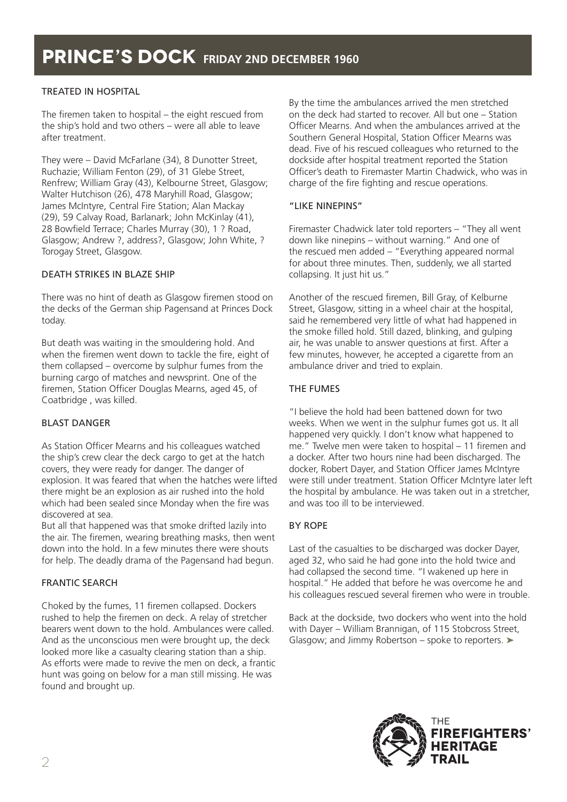### TREATED IN HOSPITAL

The firemen taken to hospital – the eight rescued from the ship's hold and two others – were all able to leave after treatment.

They were – David McFarlane (34), 8 Dunotter Street, Ruchazie; William Fenton (29), of 31 Glebe Street, Renfrew; William Gray (43), Kelbourne Street, Glasgow; Walter Hutchison (26), 478 Maryhill Road, Glasgow; James McIntyre, Central Fire Station; Alan Mackay (29), 59 Calvay Road, Barlanark; John McKinlay (41), 28 Bowfield Terrace; Charles Murray (30), 1 ? Road, Glasgow; Andrew ?, address?, Glasgow; John White, ? Torogay Street, Glasgow.

### DEATH STRIKES IN BLAZE SHIP

There was no hint of death as Glasgow firemen stood on the decks of the German ship Pagensand at Princes Dock today.

But death was waiting in the smouldering hold. And when the firemen went down to tackle the fire, eight of them collapsed – overcome by sulphur fumes from the burning cargo of matches and newsprint. One of the firemen, Station Officer Douglas Mearns, aged 45, of Coatbridge , was killed.

### BLAST DANGER

As Station Officer Mearns and his colleagues watched the ship's crew clear the deck cargo to get at the hatch covers, they were ready for danger. The danger of explosion. It was feared that when the hatches were lifted there might be an explosion as air rushed into the hold which had been sealed since Monday when the fire was discovered at sea.

But all that happened was that smoke drifted lazily into the air. The firemen, wearing breathing masks, then went down into the hold. In a few minutes there were shouts for help. The deadly drama of the Pagensand had begun.

### FRANTIC SEARCH

Choked by the fumes, 11 firemen collapsed. Dockers rushed to help the firemen on deck. A relay of stretcher bearers went down to the hold. Ambulances were called. And as the unconscious men were brought up, the deck looked more like a casualty clearing station than a ship. As efforts were made to revive the men on deck, a frantic hunt was going on below for a man still missing. He was found and brought up.

By the time the ambulances arrived the men stretched on the deck had started to recover. All but one – Station Officer Mearns. And when the ambulances arrived at the Southern General Hospital, Station Officer Mearns was dead. Five of his rescued colleagues who returned to the dockside after hospital treatment reported the Station Officer's death to Firemaster Martin Chadwick, who was in charge of the fire fighting and rescue operations.

### "LIKE NINEPINS"

Firemaster Chadwick later told reporters – "They all went down like ninepins – without warning." And one of the rescued men added – "Everything appeared normal for about three minutes. Then, suddenly, we all started collapsing. It just hit us."

Another of the rescued firemen, Bill Gray, of Kelburne Street, Glasgow, sitting in a wheel chair at the hospital, said he remembered very little of what had happened in the smoke filled hold. Still dazed, blinking, and gulping air, he was unable to answer questions at first. After a few minutes, however, he accepted a cigarette from an ambulance driver and tried to explain.

### THE FUMES

"I believe the hold had been battened down for two weeks. When we went in the sulphur fumes got us. It all happened very quickly. I don't know what happened to me." Twelve men were taken to hospital – 11 firemen and a docker. After two hours nine had been discharged. The docker, Robert Dayer, and Station Officer James McIntyre were still under treatment. Station Officer McIntyre later left the hospital by ambulance. He was taken out in a stretcher, and was too ill to be interviewed.

### BY ROPE

Last of the casualties to be discharged was docker Dayer, aged 32, who said he had gone into the hold twice and had collapsed the second time. "I wakened up here in hospital." He added that before he was overcome he and his colleagues rescued several firemen who were in trouble.

Back at the dockside, two dockers who went into the hold with Dayer – William Brannigan, of 115 Stobcross Street, Glasgow; and Jimmy Robertson – spoke to reporters. ➤

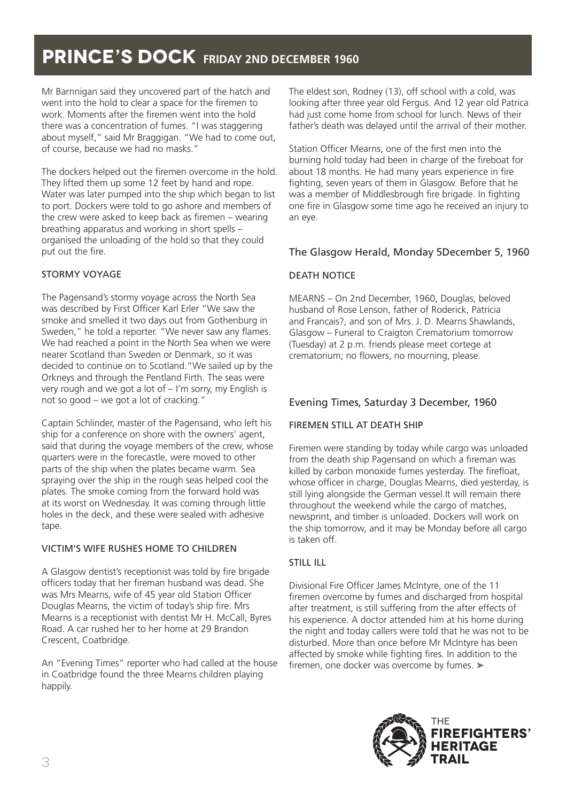Mr Barnnigan said they uncovered part of the hatch and went into the hold to clear a space for the firemen to work. Moments after the firemen went into the hold there was a concentration of fumes. "I was staggering about myself," said Mr Braggigan. "We had to come out, of course, because we had no masks."

The dockers helped out the firemen overcome in the hold. They lifted them up some 12 feet by hand and rope. Water was later pumped into the ship which began to list to port. Dockers were told to go ashore and members of the crew were asked to keep back as firemen – wearing breathing apparatus and working in short spells – organised the unloading of the hold so that they could put out the fire.

### STORMY VOYAGE

The Pagensand's stormy voyage across the North Sea was described by First Officer Karl Erler "We saw the smoke and smelled it two days out from Gothenburg in Sweden," he told a reporter. "We never saw any flames. We had reached a point in the North Sea when we were nearer Scotland than Sweden or Denmark, so it was decided to continue on to Scotland."We sailed up by the Orkneys and through the Pentland Firth. The seas were very rough and we got a lot of – I'm sorry, my English is not so good – we got a lot of cracking."

Captain Schlinder, master of the Pagensand, who left his ship for a conference on shore with the owners' agent, said that during the voyage members of the crew, whose quarters were in the forecastle, were moved to other parts of the ship when the plates became warm. Sea spraying over the ship in the rough seas helped cool the plates. The smoke coming from the forward hold was at its worst on Wednesday. It was coming through little holes in the deck, and these were sealed with adhesive tape.

## VICTIM'S WIFE RUSHES HOME TO CHILDREN

A Glasgow dentist's receptionist was told by fire brigade officers today that her fireman husband was dead. She was Mrs Mearns, wife of 45 year old Station Officer Douglas Mearns, the victim of today's ship fire. Mrs Mearns is a receptionist with dentist Mr H. McCall, Byres Road. A car rushed her to her home at 29 Brandon Crescent, Coatbridge.

An "Evening Times" reporter who had called at the house in Coatbridge found the three Mearns children playing happily.

The eldest son, Rodney (13), off school with a cold, was looking after three year old Fergus. And 12 year old Patrica had just come home from school for lunch. News of their father's death was delayed until the arrival of their mother.

Station Officer Mearns, one of the first men into the burning hold today had been in charge of the fireboat for about 18 months. He had many years experience in fire fighting, seven years of them in Glasgow. Before that he was a member of Middlesbrough fire brigade. In fighting one fire in Glasgow some time ago he received an injury to an eye.

## The Glasgow Herald, Monday 5December 5, 1960

### DEATH NOTICE

MEARNS – On 2nd December, 1960, Douglas, beloved husband of Rose Lenson, father of Roderick, Patricia and Francais?, and son of Mrs. J. D. Mearns Shawlands, Glasgow – Funeral to Craigton Crematorium tomorrow (Tuesday) at 2 p.m. friends please meet cortege at crematorium; no flowers, no mourning, please.

## Evening Times, Saturday 3 December, 1960

### FIREMEN STILL AT DEATH SHIP

Firemen were standing by today while cargo was unloaded from the death ship Pagensand on which a fireman was killed by carbon monoxide fumes yesterday. The firefloat, whose officer in charge, Douglas Mearns, died yesterday, is still lying alongside the German vessel.It will remain there throughout the weekend while the cargo of matches, newsprint, and timber is unloaded. Dockers will work on the ship tomorrow, and it may be Monday before all cargo is taken off.

## STILL ILL

Divisional Fire Officer James McIntyre, one of the 11 firemen overcome by fumes and discharged from hospital after treatment, is still suffering from the after effects of his experience. A doctor attended him at his home during the night and today callers were told that he was not to be disturbed. More than once before Mr McIntyre has been affected by smoke while fighting fires. In addition to the firemen, one docker was overcome by fumes. ➤

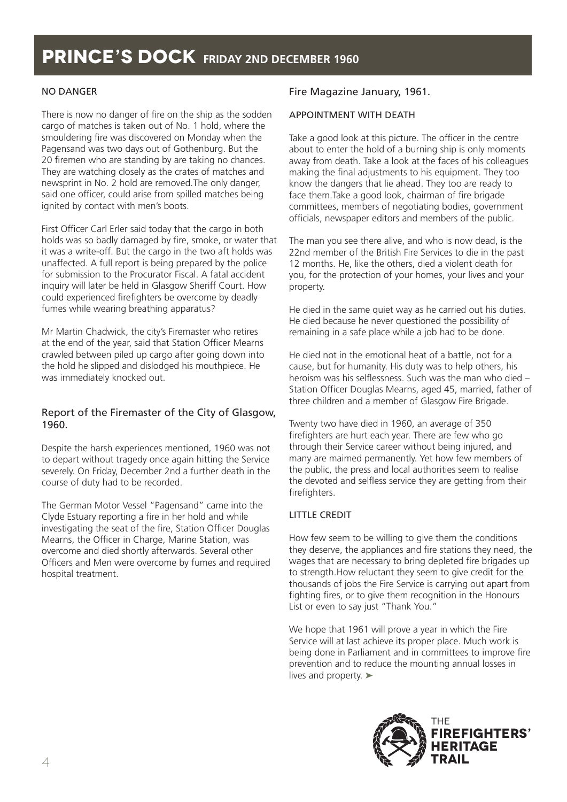### NO DANGER

There is now no danger of fire on the ship as the sodden cargo of matches is taken out of No. 1 hold, where the smouldering fire was discovered on Monday when the Pagensand was two days out of Gothenburg. But the 20 firemen who are standing by are taking no chances. They are watching closely as the crates of matches and newsprint in No. 2 hold are removed.The only danger, said one officer, could arise from spilled matches being ignited by contact with men's boots.

First Officer Carl Erler said today that the cargo in both holds was so badly damaged by fire, smoke, or water that it was a write-off. But the cargo in the two aft holds was unaffected. A full report is being prepared by the police for submission to the Procurator Fiscal. A fatal accident inquiry will later be held in Glasgow Sheriff Court. How could experienced firefighters be overcome by deadly fumes while wearing breathing apparatus?

Mr Martin Chadwick, the city's Firemaster who retires at the end of the year, said that Station Officer Mearns crawled between piled up cargo after going down into the hold he slipped and dislodged his mouthpiece. He was immediately knocked out.

### Report of the Firemaster of the City of Glasgow, 1960.

Despite the harsh experiences mentioned, 1960 was not to depart without tragedy once again hitting the Service severely. On Friday, December 2nd a further death in the course of duty had to be recorded.

The German Motor Vessel "Pagensand" came into the Clyde Estuary reporting a fire in her hold and while investigating the seat of the fire, Station Officer Douglas Mearns, the Officer in Charge, Marine Station, was overcome and died shortly afterwards. Several other Officers and Men were overcome by fumes and required hospital treatment.

### Fire Magazine January, 1961.

### APPOINTMENT WITH DEATH

Take a good look at this picture. The officer in the centre about to enter the hold of a burning ship is only moments away from death. Take a look at the faces of his colleagues making the final adjustments to his equipment. They too know the dangers that lie ahead. They too are ready to face them.Take a good look, chairman of fire brigade committees, members of negotiating bodies, government officials, newspaper editors and members of the public.

The man you see there alive, and who is now dead, is the 22nd member of the British Fire Services to die in the past 12 months. He, like the others, died a violent death for you, for the protection of your homes, your lives and your property.

He died in the same quiet way as he carried out his duties. He died because he never questioned the possibility of remaining in a safe place while a job had to be done.

He died not in the emotional heat of a battle, not for a cause, but for humanity. His duty was to help others, his heroism was his selflessness. Such was the man who died – Station Officer Douglas Mearns, aged 45, married, father of three children and a member of Glasgow Fire Brigade.

Twenty two have died in 1960, an average of 350 firefighters are hurt each year. There are few who go through their Service career without being injured, and many are maimed permanently. Yet how few members of the public, the press and local authorities seem to realise the devoted and selfless service they are getting from their firefighters.

### LITTLE CREDIT

How few seem to be willing to give them the conditions they deserve, the appliances and fire stations they need, the wages that are necessary to bring depleted fire brigades up to strength.How reluctant they seem to give credit for the thousands of jobs the Fire Service is carrying out apart from fighting fires, or to give them recognition in the Honours List or even to say just "Thank You."

We hope that 1961 will prove a year in which the Fire Service will at last achieve its proper place. Much work is being done in Parliament and in committees to improve fire prevention and to reduce the mounting annual losses in lives and property. ➤